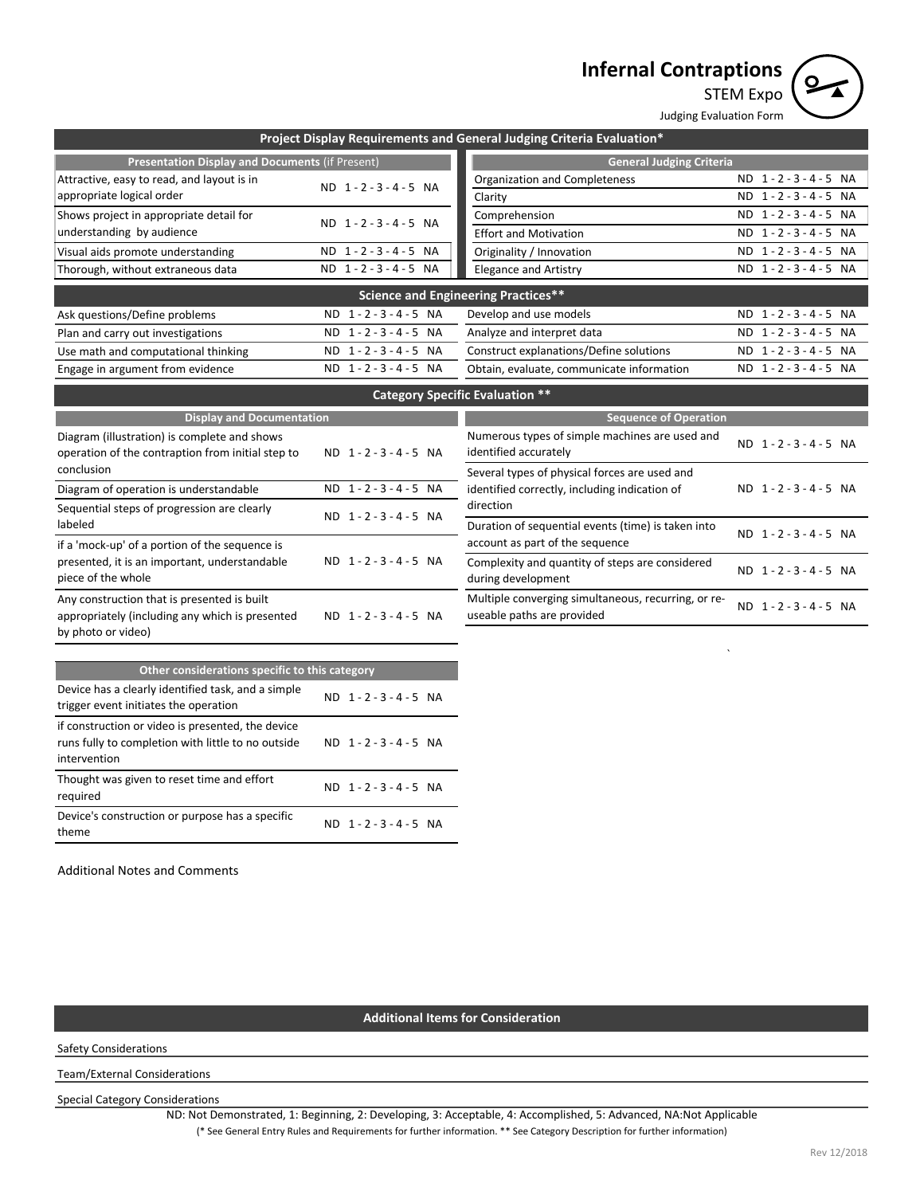# **Infernal Contraptions**



STEM Expo

|                                                                                             |                               | Judging Evaluation Form                                               |                                      |  |  |
|---------------------------------------------------------------------------------------------|-------------------------------|-----------------------------------------------------------------------|--------------------------------------|--|--|
|                                                                                             |                               | Project Display Requirements and General Judging Criteria Evaluation* |                                      |  |  |
| Presentation Display and Documents (if Present)                                             |                               | <b>General Judging Criteria</b>                                       |                                      |  |  |
| Attractive, easy to read, and layout is in                                                  | ND 1-2-3-4-5 NA               | Organization and Completeness                                         | ND 1-2-3-4-5 NA                      |  |  |
| appropriate logical order                                                                   |                               | Clarity                                                               | ND 1-2-3-4-5 NA                      |  |  |
| Shows project in appropriate detail for                                                     | ND 1-2-3-4-5 NA               | Comprehension                                                         | ND 1-2-3-4-5 NA                      |  |  |
| understanding by audience                                                                   |                               | <b>Effort and Motivation</b>                                          | $\overline{ND}$ 1 - 2 - 3 - 4 - 5 NA |  |  |
| Visual aids promote understanding                                                           | ND 1-2-3-4-5 NA               | Originality / Innovation                                              | ND 1-2-3-4-5 NA                      |  |  |
| Thorough, without extraneous data                                                           | ND 1-2-3-4-5 NA               | <b>Elegance and Artistry</b>                                          | ND 1-2-3-4-5 NA                      |  |  |
|                                                                                             |                               | <b>Science and Engineering Practices**</b>                            |                                      |  |  |
| Ask questions/Define problems                                                               | ND 1-2-3-4-5 NA               | Develop and use models                                                | ND 1-2-3-4-5 NA                      |  |  |
| Plan and carry out investigations                                                           | ND 1-2-3-4-5 NA               | Analyze and interpret data                                            | ND 1-2-3-4-5 NA                      |  |  |
| Use math and computational thinking                                                         | $1 - 2 - 3 - 4 - 5$ NA<br>ND. | Construct explanations/Define solutions                               | ND 1-2-3-4-5 NA                      |  |  |
| Engage in argument from evidence                                                            | ND 1-2-3-4-5 NA               | Obtain, evaluate, communicate information                             | ND 1-2-3-4-5 NA                      |  |  |
|                                                                                             |                               | <b>Category Specific Evaluation **</b>                                |                                      |  |  |
| <b>Display and Documentation</b>                                                            |                               | <b>Sequence of Operation</b>                                          |                                      |  |  |
| Diagram (illustration) is complete and shows                                                |                               | Numerous types of simple machines are used and                        | ND 1-2-3-4-5 NA                      |  |  |
| operation of the contraption from initial step to                                           | ND 1-2-3-4-5 NA               | identified accurately                                                 |                                      |  |  |
| conclusion                                                                                  |                               | Several types of physical forces are used and                         |                                      |  |  |
| Diagram of operation is understandable                                                      | ND 1-2-3-4-5 NA               | identified correctly, including indication of                         | ND 1-2-3-4-5 NA                      |  |  |
| Sequential steps of progression are clearly<br>labeled                                      | ND 1-2-3-4-5 NA               | direction<br>Duration of sequential events (time) is taken into       |                                      |  |  |
| if a 'mock-up' of a portion of the sequence is                                              |                               | account as part of the sequence                                       | ND 1-2-3-4-5 NA                      |  |  |
| presented, it is an important, understandable                                               | ND 1-2-3-4-5 NA               | Complexity and quantity of steps are considered                       |                                      |  |  |
| piece of the whole                                                                          |                               | during development                                                    | ND 1-2-3-4-5 NA                      |  |  |
| Any construction that is presented is built                                                 |                               | Multiple converging simultaneous, recurring, or re-                   | ND 1-2-3-4-5 NA                      |  |  |
| appropriately (including any which is presented                                             | ND 1-2-3-4-5 NA               | useable paths are provided                                            |                                      |  |  |
| by photo or video)                                                                          |                               |                                                                       |                                      |  |  |
|                                                                                             |                               |                                                                       |                                      |  |  |
| Other considerations specific to this category                                              |                               |                                                                       |                                      |  |  |
| Device has a clearly identified task, and a simple<br>trigger event initiates the operation | ND 1-2-3-4-5 NA               |                                                                       |                                      |  |  |
| if construction or video is presented, the device                                           |                               |                                                                       |                                      |  |  |
| runs fully to completion with little to no outside<br>intervention                          | ND 1-2-3-4-5 NA               |                                                                       |                                      |  |  |
| Thought was given to reset time and effort<br>required                                      | ND 1-2-3-4-5 NA               |                                                                       |                                      |  |  |

Additional Notes and Comments

theme

Device's construction or purpose has a specific

## **Additional Items for Consideration**

ND 1 - 2 - 3 - 4 - 5 NA

Safety Considerations

Team/External Considerations

Special Category Considerations

(\* See General Entry Rules and Requirements for further information. \*\* See Category Description for further information) ND: Not Demonstrated, 1: Beginning, 2: Developing, 3: Acceptable, 4: Accomplished, 5: Advanced, NA:Not Applicable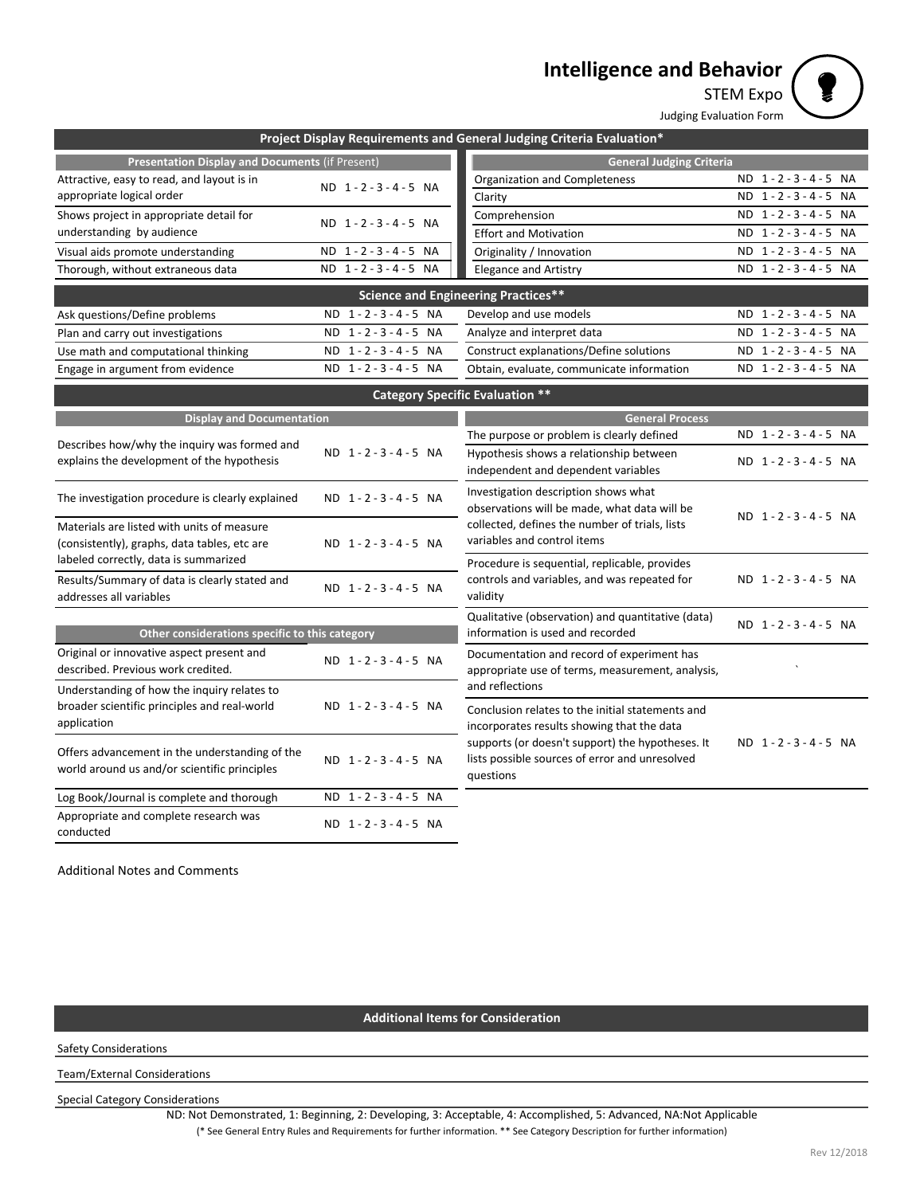# **Intelligence and Behavior**



Judging Evaluation Form

|                                                                                                |                                     | Project Display Requirements and General Judging Criteria Evaluation*                                           |                 |  |
|------------------------------------------------------------------------------------------------|-------------------------------------|-----------------------------------------------------------------------------------------------------------------|-----------------|--|
| <b>Presentation Display and Documents (if Present)</b>                                         |                                     | <b>General Judging Criteria</b>                                                                                 |                 |  |
| Attractive, easy to read, and layout is in                                                     | ND 1-2-3-4-5 NA                     | Organization and Completeness                                                                                   | ND 1-2-3-4-5 NA |  |
| appropriate logical order                                                                      |                                     | Clarity                                                                                                         | ND 1-2-3-4-5 NA |  |
| Shows project in appropriate detail for                                                        | ND 1-2-3-4-5 NA                     | Comprehension                                                                                                   | ND 1-2-3-4-5 NA |  |
| understanding by audience                                                                      |                                     | <b>Effort and Motivation</b>                                                                                    | ND 1-2-3-4-5 NA |  |
| Visual aids promote understanding                                                              | ND 1-2-3-4-5 NA                     | Originality / Innovation                                                                                        | ND 1-2-3-4-5 NA |  |
| Thorough, without extraneous data                                                              | ND 1-2-3-4-5 NA                     | <b>Elegance and Artistry</b>                                                                                    | ND 1-2-3-4-5 NA |  |
|                                                                                                |                                     | <b>Science and Engineering Practices**</b>                                                                      |                 |  |
| Ask questions/Define problems                                                                  | ND 1-2-3-4-5 NA                     | Develop and use models                                                                                          | ND 1-2-3-4-5 NA |  |
| Plan and carry out investigations                                                              | ND 1-2-3-4-5 NA                     | Analyze and interpret data                                                                                      | ND 1-2-3-4-5 NA |  |
| Use math and computational thinking                                                            | $1 - 2 - 3 - 4 - 5$ NA<br><b>ND</b> | Construct explanations/Define solutions                                                                         | ND 1-2-3-4-5 NA |  |
| Engage in argument from evidence                                                               | ND 1-2-3-4-5 NA                     | Obtain, evaluate, communicate information                                                                       | ND 1-2-3-4-5 NA |  |
|                                                                                                |                                     | <b>Category Specific Evaluation **</b>                                                                          |                 |  |
| <b>Display and Documentation</b>                                                               |                                     | <b>General Process</b>                                                                                          |                 |  |
|                                                                                                |                                     | The purpose or problem is clearly defined                                                                       | ND 1-2-3-4-5 NA |  |
| Describes how/why the inquiry was formed and<br>explains the development of the hypothesis     | ND 1-2-3-4-5 NA                     | Hypothesis shows a relationship between<br>independent and dependent variables                                  | ND 1-2-3-4-5 NA |  |
| The investigation procedure is clearly explained                                               | ND 1-2-3-4-5 NA                     | Investigation description shows what<br>observations will be made, what data will be                            | ND 1-2-3-4-5 NA |  |
| Materials are listed with units of measure<br>(consistently), graphs, data tables, etc are     | ND 1-2-3-4-5 NA                     | collected, defines the number of trials, lists<br>variables and control items                                   |                 |  |
| labeled correctly, data is summarized                                                          |                                     | Procedure is sequential, replicable, provides                                                                   |                 |  |
| Results/Summary of data is clearly stated and<br>addresses all variables                       | $ND$ 1 - 2 - 3 - 4 - 5 $NA$         | controls and variables, and was repeated for<br>validity                                                        | ND 1-2-3-4-5 NA |  |
| Other considerations specific to this category                                                 |                                     | Qualitative (observation) and quantitative (data)<br>information is used and recorded                           | ND 1-2-3-4-5 NA |  |
| Original or innovative aspect present and                                                      |                                     | Documentation and record of experiment has                                                                      |                 |  |
| described. Previous work credited.                                                             | ND 1-2-3-4-5 NA                     | appropriate use of terms, measurement, analysis,                                                                |                 |  |
| Understanding of how the inquiry relates to                                                    |                                     | and reflections                                                                                                 |                 |  |
| broader scientific principles and real-world<br>application                                    | ND 1-2-3-4-5 NA                     | Conclusion relates to the initial statements and<br>incorporates results showing that the data                  |                 |  |
| Offers advancement in the understanding of the<br>world around us and/or scientific principles | ND 1-2-3-4-5 NA                     | supports (or doesn't support) the hypotheses. It<br>lists possible sources of error and unresolved<br>questions | ND 1-2-3-4-5 NA |  |
| Log Book/Journal is complete and thorough                                                      | ND 1-2-3-4-5 NA                     |                                                                                                                 |                 |  |
| Appropriate and complete research was<br>conducted                                             | ND 1-2-3-4-5 NA                     |                                                                                                                 |                 |  |

Additional Notes and Comments

# **Additional Items for Consideration**

Safety Considerations

Team/External Considerations

Special Category Considerations

(\* See General Entry Rules and Requirements for further information. \*\* See Category Description for further information) ND: Not Demonstrated, 1: Beginning, 2: Developing, 3: Acceptable, 4: Accomplished, 5: Advanced, NA:Not Applicable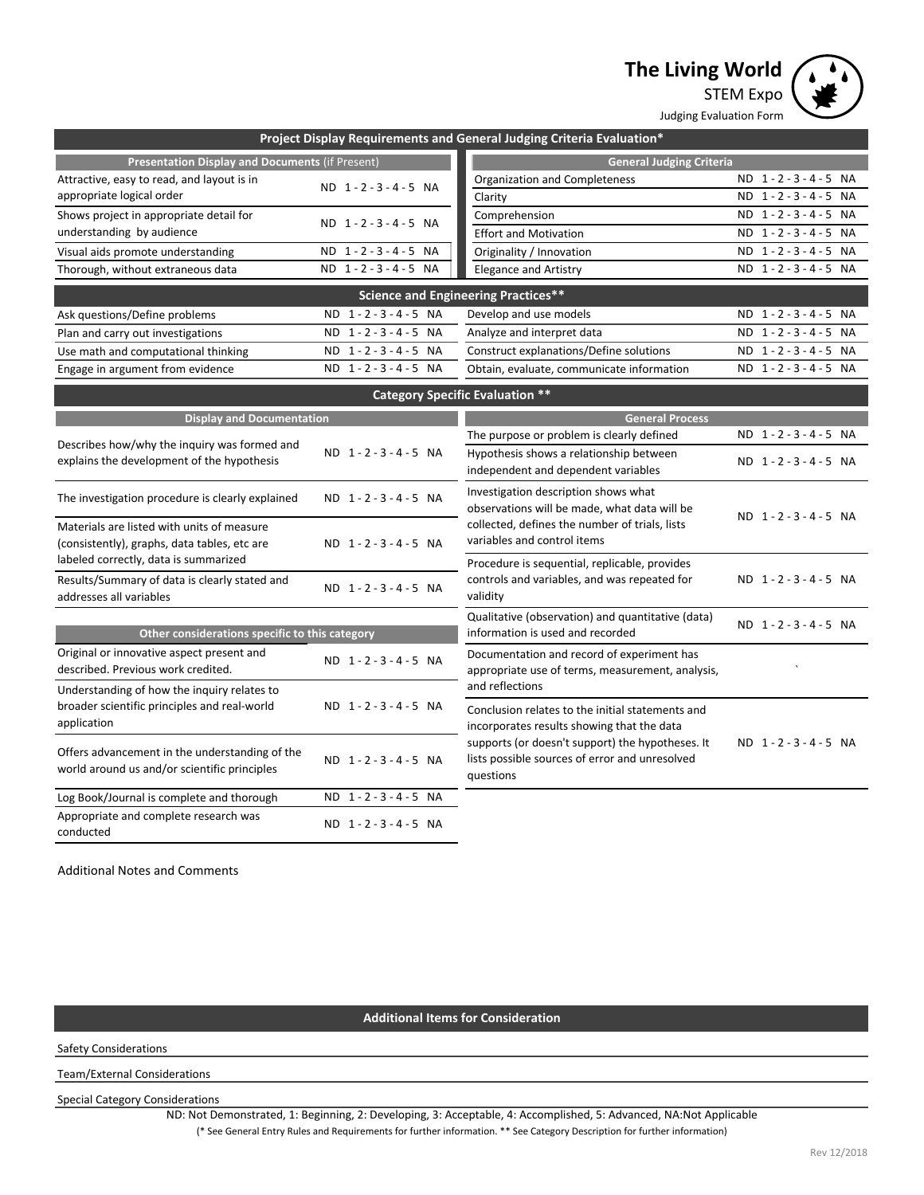**The Living World**



|                                                                                             |                                     | Project Display Requirements and General Judging Criteria Evaluation*                          |                 |
|---------------------------------------------------------------------------------------------|-------------------------------------|------------------------------------------------------------------------------------------------|-----------------|
| <b>Presentation Display and Documents (if Present)</b>                                      |                                     | <b>General Judging Criteria</b>                                                                |                 |
| Attractive, easy to read, and layout is in                                                  | ND 1-2-3-4-5 NA                     | Organization and Completeness                                                                  | ND 1-2-3-4-5 NA |
| appropriate logical order                                                                   |                                     | Clarity                                                                                        | ND 1-2-3-4-5 NA |
| Shows project in appropriate detail for                                                     | ND 1-2-3-4-5 NA                     | Comprehension                                                                                  | ND 1-2-3-4-5 NA |
| understanding by audience                                                                   |                                     | <b>Effort and Motivation</b>                                                                   | ND 1-2-3-4-5 NA |
| Visual aids promote understanding                                                           | ND 1-2-3-4-5 NA                     | Originality / Innovation                                                                       | ND 1-2-3-4-5 NA |
| Thorough, without extraneous data                                                           | ND 1-2-3-4-5 NA                     | <b>Elegance and Artistry</b>                                                                   | ND 1-2-3-4-5 NA |
|                                                                                             |                                     | <b>Science and Engineering Practices**</b>                                                     |                 |
| Ask questions/Define problems                                                               | ND 1-2-3-4-5 NA                     | Develop and use models                                                                         | ND 1-2-3-4-5 NA |
| Plan and carry out investigations                                                           | ND 1-2-3-4-5 NA                     | Analyze and interpret data                                                                     | ND 1-2-3-4-5 NA |
| Use math and computational thinking                                                         | $1 - 2 - 3 - 4 - 5$ NA<br><b>ND</b> | Construct explanations/Define solutions                                                        | ND 1-2-3-4-5 NA |
| Engage in argument from evidence                                                            | ND 1-2-3-4-5 NA                     | Obtain, evaluate, communicate information                                                      | ND 1-2-3-4-5 NA |
|                                                                                             |                                     | <b>Category Specific Evaluation **</b>                                                         |                 |
| <b>Display and Documentation</b>                                                            |                                     | <b>General Process</b>                                                                         |                 |
|                                                                                             |                                     | The purpose or problem is clearly defined                                                      | ND 1-2-3-4-5 NA |
| Describes how/why the inquiry was formed and                                                | ND 1-2-3-4-5 NA                     | Hypothesis shows a relationship between                                                        |                 |
| explains the development of the hypothesis                                                  |                                     | ND 1-2-3-4-5 NA<br>independent and dependent variables<br>Investigation description shows what |                 |
| The investigation procedure is clearly explained                                            | ND 1-2-3-4-5 NA                     |                                                                                                |                 |
|                                                                                             |                                     | observations will be made, what data will be                                                   | ND 1-2-3-4-5 NA |
| Materials are listed with units of measure                                                  |                                     | collected, defines the number of trials, lists                                                 |                 |
| (consistently), graphs, data tables, etc are                                                | ND 1-2-3-4-5 NA                     | variables and control items                                                                    |                 |
| labeled correctly, data is summarized                                                       |                                     | Procedure is sequential, replicable, provides                                                  |                 |
| Results/Summary of data is clearly stated and                                               | ND 1-2-3-4-5 NA                     | controls and variables, and was repeated for                                                   | ND 1-2-3-4-5 NA |
| addresses all variables                                                                     |                                     | validity                                                                                       |                 |
|                                                                                             |                                     | Qualitative (observation) and quantitative (data)                                              | ND 1-2-3-4-5 NA |
| Other considerations specific to this category                                              |                                     | information is used and recorded                                                               |                 |
| Original or innovative aspect present and<br>described. Previous work credited.             | ND 1-2-3-4-5 NA                     | Documentation and record of experiment has                                                     |                 |
|                                                                                             |                                     | appropriate use of terms, measurement, analysis,<br>and reflections                            |                 |
| Understanding of how the inquiry relates to<br>broader scientific principles and real-world | ND 1-2-3-4-5 NA                     |                                                                                                |                 |
| application                                                                                 |                                     | Conclusion relates to the initial statements and                                               |                 |
|                                                                                             |                                     | incorporates results showing that the data<br>supports (or doesn't support) the hypotheses. It | ND 1-2-3-4-5 NA |
| Offers advancement in the understanding of the                                              | ND 1-2-3-4-5 NA                     | lists possible sources of error and unresolved                                                 |                 |
| world around us and/or scientific principles                                                |                                     | questions                                                                                      |                 |
| Log Book/Journal is complete and thorough                                                   | ND 1-2-3-4-5 NA                     |                                                                                                |                 |
| Appropriate and complete research was                                                       |                                     |                                                                                                |                 |
| conducted                                                                                   | ND 1-2-3-4-5 NA                     |                                                                                                |                 |
|                                                                                             |                                     |                                                                                                |                 |
| <b>Additional Notes and Comments</b>                                                        |                                     |                                                                                                |                 |

### **Additional Items for Consideration**

Safety Considerations

Team/External Considerations

Special Category Considerations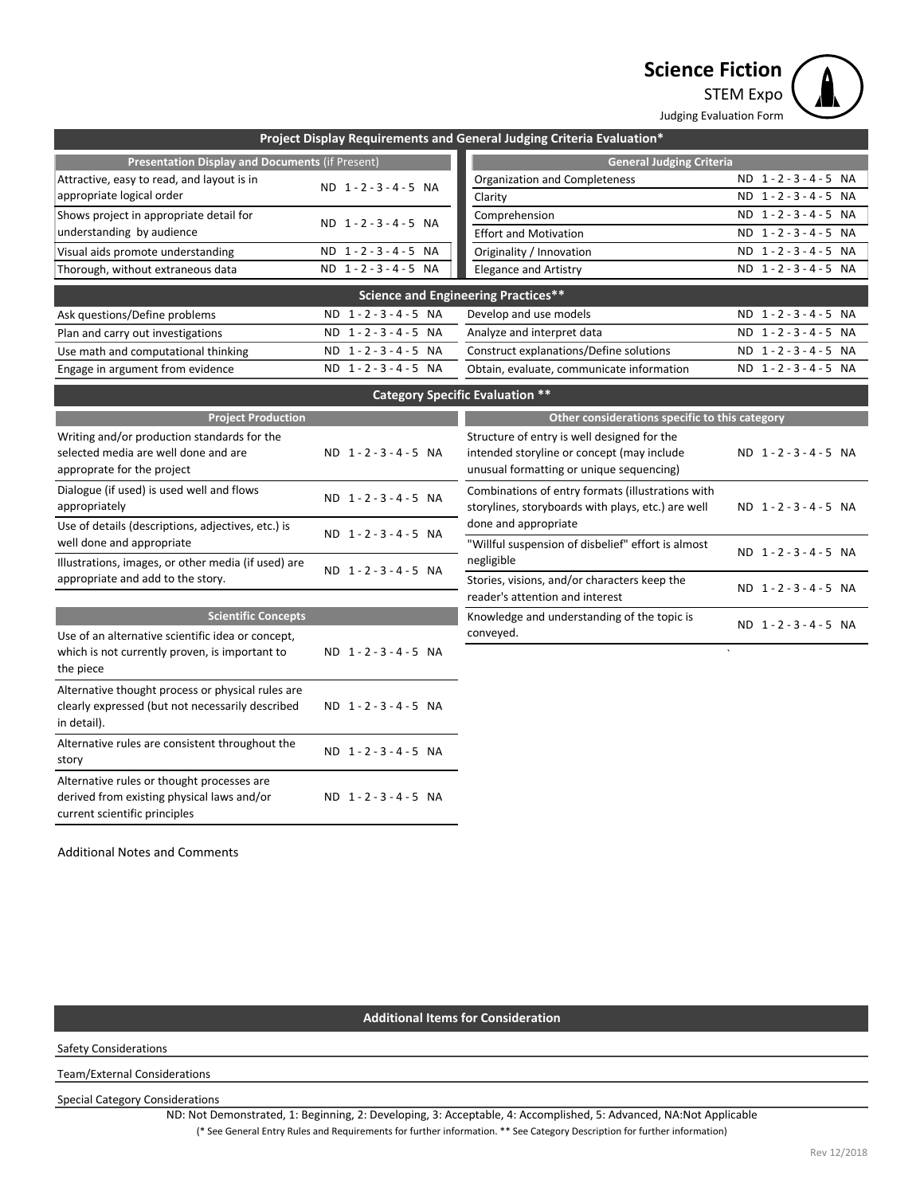**Science Fiction**



| Project Display Requirements and General Judging Criteria Evaluation*                    |                 |                                                    |                    |  |
|------------------------------------------------------------------------------------------|-----------------|----------------------------------------------------|--------------------|--|
| <b>Presentation Display and Documents (if Present)</b>                                   |                 | <b>General Judging Criteria</b>                    |                    |  |
| Attractive, easy to read, and layout is in                                               |                 | Organization and Completeness                      | ND 1-2-3-4-5 NA    |  |
| appropriate logical order                                                                | ND 1-2-3-4-5 NA | Clarity                                            | ND 1-2-3-4-5 NA    |  |
| Shows project in appropriate detail for                                                  | ND 1-2-3-4-5 NA | Comprehension                                      | ND 1-2-3-4-5 NA    |  |
| understanding by audience                                                                |                 | <b>Effort and Motivation</b>                       | ND 1-2-3-4-5 NA    |  |
| Visual aids promote understanding                                                        | ND 1-2-3-4-5 NA | Originality / Innovation                           | ND 1-2-3-4-5 NA    |  |
| Thorough, without extraneous data                                                        | ND 1-2-3-4-5 NA | <b>Elegance and Artistry</b>                       | ND 1-2-3-4-5 NA    |  |
|                                                                                          |                 | <b>Science and Engineering Practices**</b>         |                    |  |
| Ask questions/Define problems                                                            | ND 1-2-3-4-5 NA | Develop and use models                             | ND 1-2-3-4-5 NA    |  |
| Plan and carry out investigations                                                        | ND 1-2-3-4-5 NA | Analyze and interpret data                         | ND 1-2-3-4-5 NA    |  |
| Use math and computational thinking                                                      | ND 1-2-3-4-5 NA | Construct explanations/Define solutions            | ND 1-2-3-4-5 NA    |  |
| Engage in argument from evidence                                                         | ND 1-2-3-4-5 NA | Obtain, evaluate, communicate information          | ND 1-2-3-4-5 NA    |  |
|                                                                                          |                 | <b>Category Specific Evaluation **</b>             |                    |  |
| <b>Project Production</b>                                                                |                 | Other considerations specific to this category     |                    |  |
| Writing and/or production standards for the                                              |                 | Structure of entry is well designed for the        |                    |  |
| selected media are well done and are                                                     | ND 1-2-3-4-5 NA | intended storyline or concept (may include         | ND 1-2-3-4-5 NA    |  |
| approprate for the project                                                               |                 | unusual formatting or unique sequencing)           |                    |  |
| Dialogue (if used) is used well and flows                                                | ND 1-2-3-4-5 NA | Combinations of entry formats (illustrations with  |                    |  |
| appropriately                                                                            |                 | storylines, storyboards with plays, etc.) are well | ND 1-2-3-4-5 NA    |  |
| Use of details (descriptions, adjectives, etc.) is                                       | ND 1-2-3-4-5 NA | done and appropriate                               |                    |  |
| well done and appropriate                                                                |                 | "Willful suspension of disbelief" effort is almost | ND 1-2-3-4-5 NA    |  |
| Illustrations, images, or other media (if used) are                                      | ND 1-2-3-4-5 NA | negligible                                         |                    |  |
| appropriate and add to the story.                                                        |                 | Stories, visions, and/or characters keep the       | ND 1-2-3-4-5 NA    |  |
|                                                                                          |                 | reader's attention and interest                    |                    |  |
| <b>Scientific Concepts</b>                                                               |                 | Knowledge and understanding of the topic is        | ND 1-2-3-4-5 NA    |  |
| Use of an alternative scientific idea or concept,                                        |                 | conveyed.                                          | $\bar{\mathbf{v}}$ |  |
| which is not currently proven, is important to                                           | ND 1-2-3-4-5 NA |                                                    |                    |  |
| the piece                                                                                |                 |                                                    |                    |  |
| Alternative thought process or physical rules are                                        |                 |                                                    |                    |  |
| clearly expressed (but not necessarily described<br>in detail).                          | ND 1-2-3-4-5 NA |                                                    |                    |  |
| Alternative rules are consistent throughout the                                          |                 |                                                    |                    |  |
| story                                                                                    | ND 1-2-3-4-5 NA |                                                    |                    |  |
|                                                                                          |                 |                                                    |                    |  |
| Alternative rules or thought processes are<br>derived from existing physical laws and/or | ND 1-2-3-4-5 NA |                                                    |                    |  |
| current scientific principles                                                            |                 |                                                    |                    |  |

Additional Notes and Comments

### **Additional Items for Consideration**

Safety Considerations

Team/External Considerations

Special Category Considerations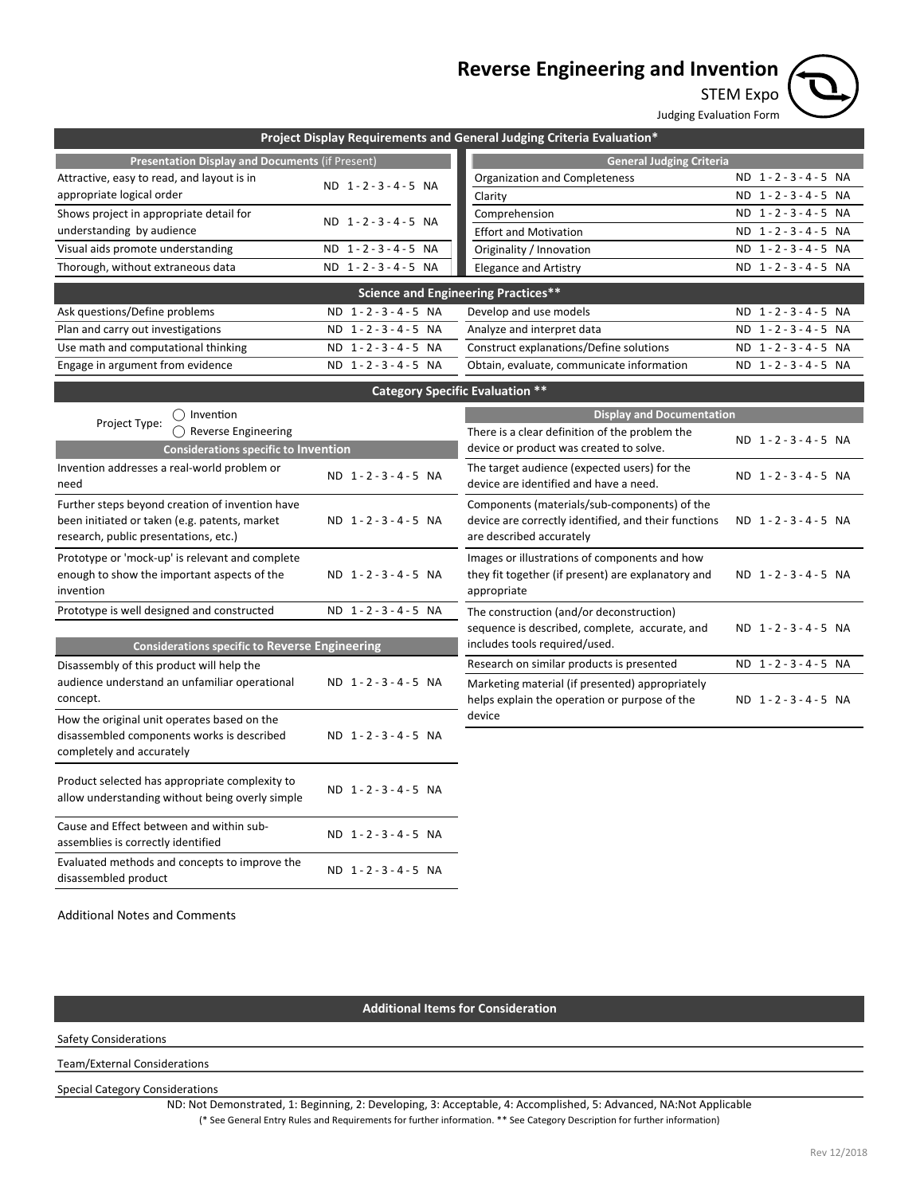# **Reverse Engineering and Invention**



Judging Evaluation Form

| Project Display Requirements and General Judging Criteria Evaluation*                                                                     |                               |                                                                                                                                  |                 |  |
|-------------------------------------------------------------------------------------------------------------------------------------------|-------------------------------|----------------------------------------------------------------------------------------------------------------------------------|-----------------|--|
| <b>Presentation Display and Documents (if Present)</b>                                                                                    |                               | <b>General Judging Criteria</b>                                                                                                  |                 |  |
| Attractive, easy to read, and layout is in                                                                                                | ND 1-2-3-4-5 NA               | Organization and Completeness                                                                                                    | ND 1-2-3-4-5 NA |  |
| appropriate logical order                                                                                                                 |                               | Clarity                                                                                                                          | ND 1-2-3-4-5 NA |  |
| Shows project in appropriate detail for                                                                                                   | ND 1-2-3-4-5 NA               | Comprehension                                                                                                                    | ND 1-2-3-4-5 NA |  |
| understanding by audience                                                                                                                 |                               | <b>Effort and Motivation</b>                                                                                                     | ND 1-2-3-4-5 NA |  |
| Visual aids promote understanding                                                                                                         | $1 - 2 - 3 - 4 - 5$ NA<br>ND. | Originality / Innovation                                                                                                         | ND 1-2-3-4-5 NA |  |
| Thorough, without extraneous data                                                                                                         | ND 1-2-3-4-5 NA               | <b>Elegance and Artistry</b>                                                                                                     | ND 1-2-3-4-5 NA |  |
|                                                                                                                                           |                               | <b>Science and Engineering Practices**</b>                                                                                       |                 |  |
| Ask questions/Define problems                                                                                                             | ND 1-2-3-4-5 NA               | Develop and use models                                                                                                           | ND 1-2-3-4-5 NA |  |
| Plan and carry out investigations                                                                                                         | ND 1-2-3-4-5 NA               | Analyze and interpret data                                                                                                       | ND 1-2-3-4-5 NA |  |
| Use math and computational thinking                                                                                                       | ND 1-2-3-4-5 NA               | Construct explanations/Define solutions                                                                                          | ND 1-2-3-4-5 NA |  |
| Engage in argument from evidence                                                                                                          | ND 1-2-3-4-5 NA               | Obtain, evaluate, communicate information                                                                                        | ND 1-2-3-4-5 NA |  |
|                                                                                                                                           |                               | <b>Category Specific Evaluation **</b>                                                                                           |                 |  |
| $\bigcap$ Invention                                                                                                                       |                               | <b>Display and Documentation</b>                                                                                                 |                 |  |
| Project Type:<br>$\bigcap$ Reverse Engineering                                                                                            |                               | There is a clear definition of the problem the                                                                                   |                 |  |
| <b>Considerations specific to Invention</b>                                                                                               |                               | device or product was created to solve.                                                                                          | ND 1-2-3-4-5 NA |  |
| Invention addresses a real-world problem or<br>need                                                                                       | ND 1-2-3-4-5 NA               | The target audience (expected users) for the<br>device are identified and have a need.                                           | ND 1-2-3-4-5 NA |  |
| Further steps beyond creation of invention have<br>been initiated or taken (e.g. patents, market<br>research, public presentations, etc.) | ND 1-2-3-4-5 NA               | Components (materials/sub-components) of the<br>device are correctly identified, and their functions<br>are described accurately | ND 1-2-3-4-5 NA |  |
| Prototype or 'mock-up' is relevant and complete<br>enough to show the important aspects of the<br>invention                               | ND 1-2-3-4-5 NA               | Images or illustrations of components and how<br>they fit together (if present) are explanatory and<br>appropriate               | ND 1-2-3-4-5 NA |  |
| Prototype is well designed and constructed                                                                                                | ND 1-2-3-4-5 NA               | The construction (and/or deconstruction)<br>sequence is described, complete, accurate, and                                       | ND 1-2-3-4-5 NA |  |
| <b>Considerations specific to Reverse Engineering</b>                                                                                     |                               | includes tools required/used.                                                                                                    |                 |  |
| Disassembly of this product will help the                                                                                                 |                               | Research on similar products is presented                                                                                        | ND 1-2-3-4-5 NA |  |
| audience understand an unfamiliar operational<br>concept.                                                                                 | ND 1-2-3-4-5 NA               | Marketing material (if presented) appropriately<br>helps explain the operation or purpose of the                                 | ND 1-2-3-4-5 NA |  |
| How the original unit operates based on the<br>disassembled components works is described<br>completely and accurately                    | ND 1-2-3-4-5 NA               | device                                                                                                                           |                 |  |
| Product selected has appropriate complexity to<br>allow understanding without being overly simple                                         | ND 1-2-3-4-5 NA               |                                                                                                                                  |                 |  |
| Cause and Effect between and within sub-<br>assemblies is correctly identified                                                            | ND 1-2-3-4-5 NA               |                                                                                                                                  |                 |  |
| Evaluated methods and concepts to improve the<br>disassembled product                                                                     | ND 1-2-3-4-5 NA               |                                                                                                                                  |                 |  |

Additional Notes and Comments

#### **Additional Items for Consideration**

Safety Considerations

Team/External Considerations

Special Category Considerations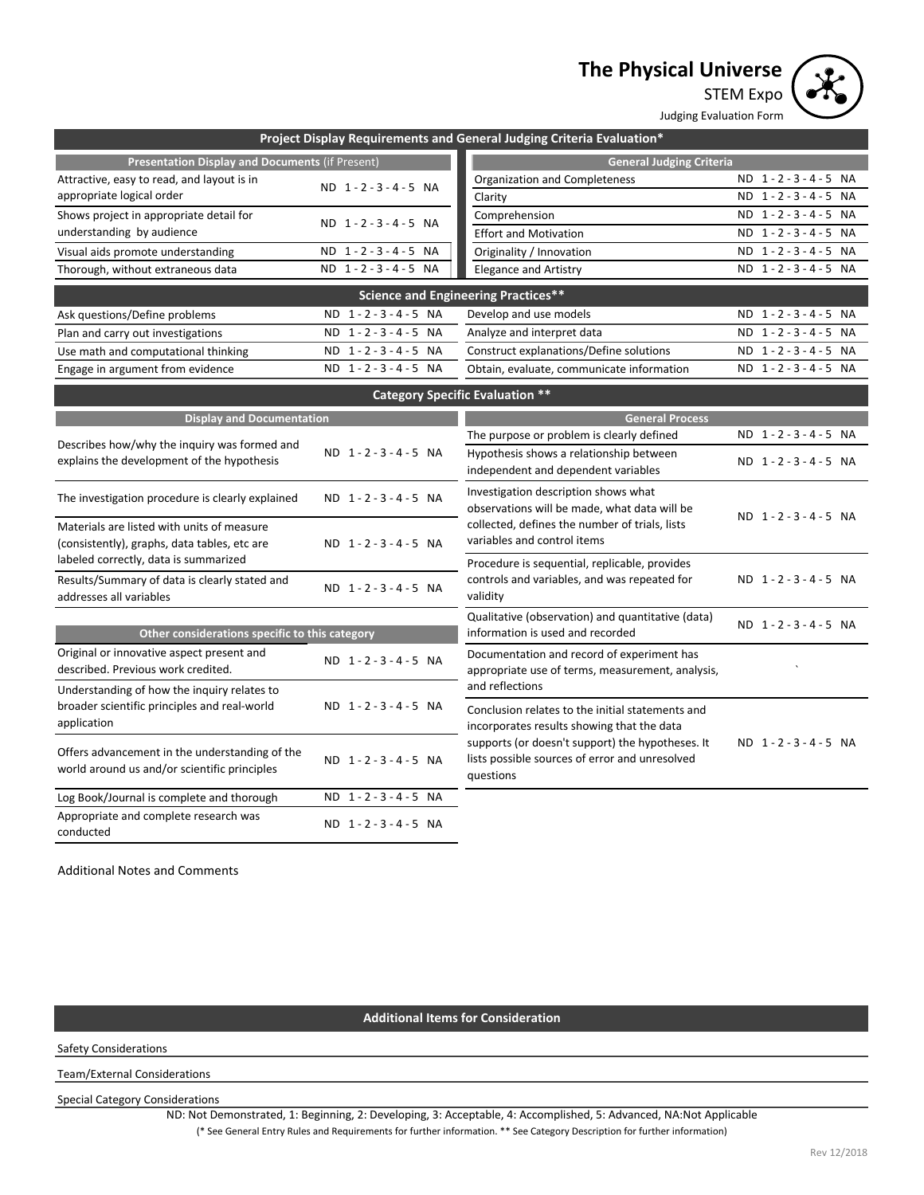# **The Physical Universe**



Judging Evaluation Form

| Project Display Requirements and General Judging Criteria Evaluation*                                                               |                               |                                                                                                                 |                 |  |
|-------------------------------------------------------------------------------------------------------------------------------------|-------------------------------|-----------------------------------------------------------------------------------------------------------------|-----------------|--|
| <b>Presentation Display and Documents (if Present)</b>                                                                              |                               | <b>General Judging Criteria</b>                                                                                 |                 |  |
| Attractive, easy to read, and layout is in                                                                                          | ND 1-2-3-4-5 NA               | Organization and Completeness                                                                                   | ND 1-2-3-4-5 NA |  |
| appropriate logical order                                                                                                           |                               | Clarity                                                                                                         | ND 1-2-3-4-5 NA |  |
| Shows project in appropriate detail for                                                                                             | ND 1-2-3-4-5 NA               | Comprehension                                                                                                   | ND 1-2-3-4-5 NA |  |
| understanding by audience                                                                                                           |                               | <b>Effort and Motivation</b>                                                                                    | ND 1-2-3-4-5 NA |  |
| Visual aids promote understanding                                                                                                   | ND 1-2-3-4-5 NA               | Originality / Innovation                                                                                        | ND 1-2-3-4-5 NA |  |
| Thorough, without extraneous data                                                                                                   | ND 1-2-3-4-5 NA               | <b>Elegance and Artistry</b>                                                                                    | ND 1-2-3-4-5 NA |  |
|                                                                                                                                     |                               | <b>Science and Engineering Practices**</b>                                                                      |                 |  |
| Ask questions/Define problems                                                                                                       | ND 1-2-3-4-5 NA               | Develop and use models                                                                                          | ND 1-2-3-4-5 NA |  |
| Plan and carry out investigations                                                                                                   | ND 1-2-3-4-5 NA               | Analyze and interpret data                                                                                      | ND 1-2-3-4-5 NA |  |
| Use math and computational thinking                                                                                                 | $1 - 2 - 3 - 4 - 5$ NA<br>ND. | Construct explanations/Define solutions                                                                         | ND 1-2-3-4-5 NA |  |
| Engage in argument from evidence                                                                                                    | ND 1-2-3-4-5 NA               | Obtain, evaluate, communicate information                                                                       | ND 1-2-3-4-5 NA |  |
|                                                                                                                                     |                               | <b>Category Specific Evaluation **</b>                                                                          |                 |  |
| <b>Display and Documentation</b>                                                                                                    |                               | <b>General Process</b>                                                                                          |                 |  |
| Describes how/why the inquiry was formed and                                                                                        |                               | The purpose or problem is clearly defined                                                                       | ND 1-2-3-4-5 NA |  |
| explains the development of the hypothesis                                                                                          | ND 1-2-3-4-5 NA               | Hypothesis shows a relationship between<br>independent and dependent variables                                  | ND 1-2-3-4-5 NA |  |
| The investigation procedure is clearly explained                                                                                    | ND 1-2-3-4-5 NA               | Investigation description shows what<br>observations will be made, what data will be                            | ND 1-2-3-4-5 NA |  |
| Materials are listed with units of measure<br>(consistently), graphs, data tables, etc are<br>labeled correctly, data is summarized | ND 1-2-3-4-5 NA               | collected, defines the number of trials, lists<br>variables and control items                                   |                 |  |
| Results/Summary of data is clearly stated and<br>addresses all variables                                                            | ND 1-2-3-4-5 NA               | Procedure is sequential, replicable, provides<br>controls and variables, and was repeated for<br>validity       | ND 1-2-3-4-5 NA |  |
|                                                                                                                                     |                               | Qualitative (observation) and quantitative (data)                                                               |                 |  |
| Other considerations specific to this category                                                                                      |                               | information is used and recorded                                                                                | ND 1-2-3-4-5 NA |  |
| Original or innovative aspect present and<br>described. Previous work credited.                                                     | ND 1-2-3-4-5 NA               | Documentation and record of experiment has<br>appropriate use of terms, measurement, analysis,                  |                 |  |
| Understanding of how the inquiry relates to<br>broader scientific principles and real-world                                         | ND 1-2-3-4-5 NA               | and reflections<br>Conclusion relates to the initial statements and                                             |                 |  |
| application                                                                                                                         |                               | incorporates results showing that the data                                                                      |                 |  |
| Offers advancement in the understanding of the<br>world around us and/or scientific principles                                      | ND 1-2-3-4-5 NA               | supports (or doesn't support) the hypotheses. It<br>lists possible sources of error and unresolved<br>questions | ND 1-2-3-4-5 NA |  |
| Log Book/Journal is complete and thorough                                                                                           | ND 1-2-3-4-5 NA               |                                                                                                                 |                 |  |
| Appropriate and complete research was<br>conducted                                                                                  | ND 1-2-3-4-5 NA               |                                                                                                                 |                 |  |

Additional Notes and Comments

## **Additional Items for Consideration**

Safety Considerations

Team/External Considerations

Special Category Considerations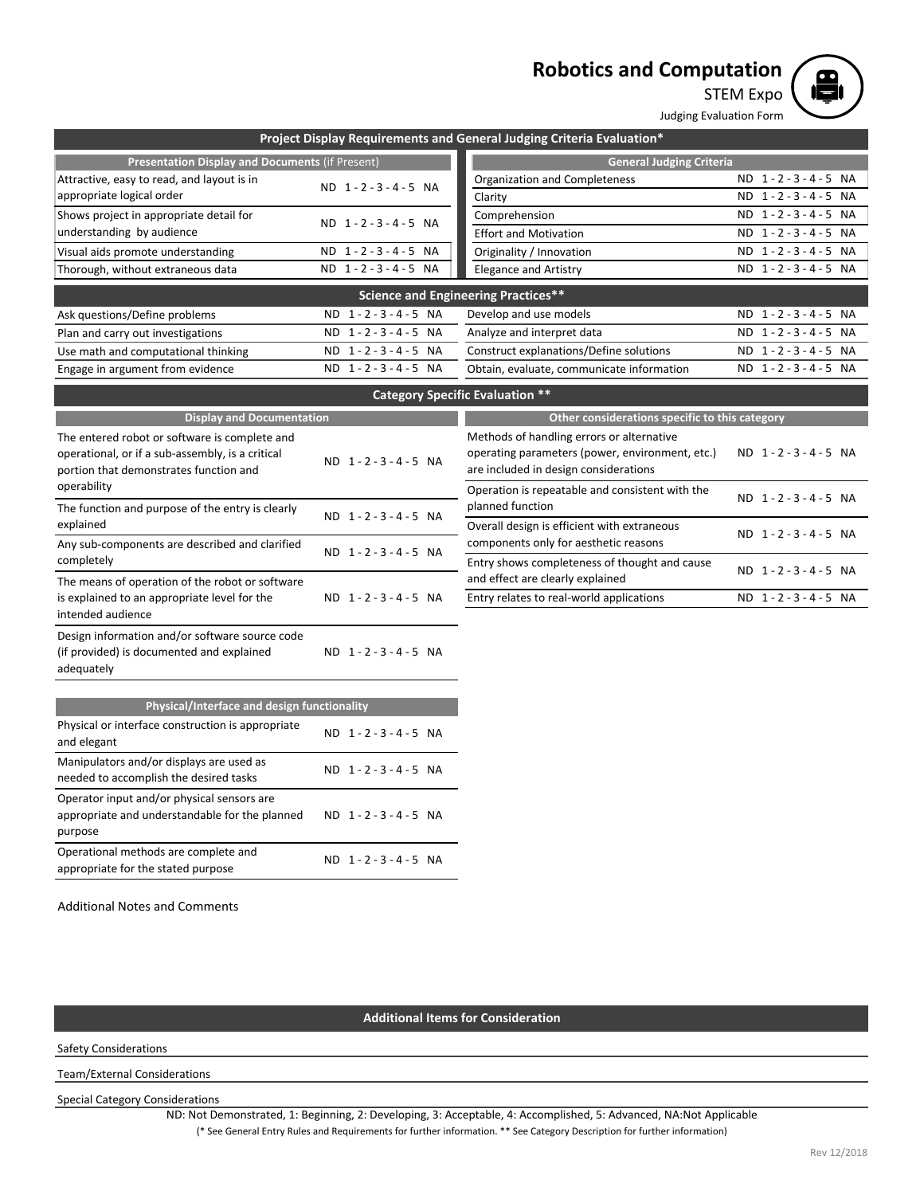# **Robotics and Computation**



Judging Evaluation Form

STEM Expo

|                                                        |                               | JUURIIIR EVAIUALIOII FOITII                                           |                                     |
|--------------------------------------------------------|-------------------------------|-----------------------------------------------------------------------|-------------------------------------|
|                                                        |                               | Project Display Requirements and General Judging Criteria Evaluation* |                                     |
| <b>Presentation Display and Documents (if Present)</b> |                               | <b>General Judging Criteria</b>                                       |                                     |
| Attractive, easy to read, and layout is in             | ND 1-2-3-4-5 NA               | Organization and Completeness                                         | ND 1-2-3-4-5 NA                     |
| appropriate logical order                              |                               | Clarity                                                               | ND 1-2-3-4-5 NA                     |
| Shows project in appropriate detail for                | ND 1-2-3-4-5 NA               | Comprehension                                                         | ND 1-2-3-4-5 NA                     |
| understanding by audience                              |                               | <b>Effort and Motivation</b>                                          | $ND 1 - 2 - 3 - 4 - 5$<br><b>NA</b> |
| Visual aids promote understanding                      | ND 1-2-3-4-5 NA               | Originality / Innovation                                              | ND 1-2-3-4-5 NA                     |
| Thorough, without extraneous data                      | ND 1-2-3-4-5 NA               | <b>Elegance and Artistry</b>                                          | ND 1-2-3-4-5 NA                     |
|                                                        |                               | <b>Science and Engineering Practices**</b>                            |                                     |
| Ask questions/Define problems                          | ND 1-2-3-4-5 NA               | Develop and use models                                                | ND 1-2-3-4-5 NA                     |
| Plan and carry out investigations                      | ND 1-2-3-4-5 NA               | Analyze and interpret data                                            | ND 1-2-3-4-5 NA                     |
| Use math and computational thinking                    | $1 - 2 - 3 - 4 - 5$ NA<br>ND. | Construct explanations/Define solutions                               | ND 1-2-3-4-5 NA                     |
| Engage in argument from evidence                       | ND 1-2-3-4-5 NA               | Obtain, evaluate, communicate information                             | ND 1-2-3-4-5 NA                     |
|                                                        |                               | <b>Category Specific Evaluation **</b>                                |                                     |
| <b>Display and Documentation</b>                       |                               | Other considerations specific to this category                        |                                     |
| The entered robot or software is complete and          |                               | Methods of handling errors or alternative                             |                                     |
| operational, or if a sub-assembly, is a critical       | ND 1-2-3-4-5 NA               | operating parameters (power, environment, etc.)                       | ND 1-2-3-4-5 NA                     |
| portion that demonstrates function and                 |                               | are included in design considerations                                 |                                     |
| operability                                            |                               | Operation is repeatable and consistent with the                       | ND 1-2-3-4-5 NA                     |
| The function and purpose of the entry is clearly       | ND 1-2-3-4-5 NA               | planned function                                                      |                                     |
| explained                                              |                               | Overall design is efficient with extraneous                           | ND 1-2-3-4-5 NA                     |
| Any sub-components are described and clarified         | ND 1-2-3-4-5 NA               | components only for aesthetic reasons                                 |                                     |
| completely                                             |                               | Entry shows completeness of thought and cause                         | ND 1-2-3-4-5 NA                     |
| The means of operation of the robot or software        |                               | and effect are clearly explained                                      |                                     |
| is explained to an appropriate level for the           | ND 1-2-3-4-5 NA               | Entry relates to real-world applications                              | ND 1-2-3-4-5 NA                     |
| intended audience                                      |                               |                                                                       |                                     |
| Design information and/or software source code         |                               |                                                                       |                                     |
| (if provided) is documented and explained              | ND 1-2-3-4-5 NA               |                                                                       |                                     |
| adequately                                             |                               |                                                                       |                                     |
| Physical/Interface and design functionality            |                               |                                                                       |                                     |
| Physical or interface construction is appropriate      |                               |                                                                       |                                     |
| and elegant                                            | ND 1-2-3-4-5 NA               |                                                                       |                                     |
| Manipulators and/or displays are used as               |                               |                                                                       |                                     |
| needed to accomplish the desired tasks                 | ND 1-2-3-4-5 NA               |                                                                       |                                     |
| Operator input and/or physical sensors are             |                               |                                                                       |                                     |
| appropriate and understandable for the planned         | ND 1-2-3-4-5 NA               |                                                                       |                                     |

Additional Notes and Comments

Operational methods are complete and appropriate for the stated purpose

## **Additional Items for Consideration**

ND 1 - 2 - 3 - 4 - 5 NA

Safety Considerations

purpose

Team/External Considerations

Special Category Considerations